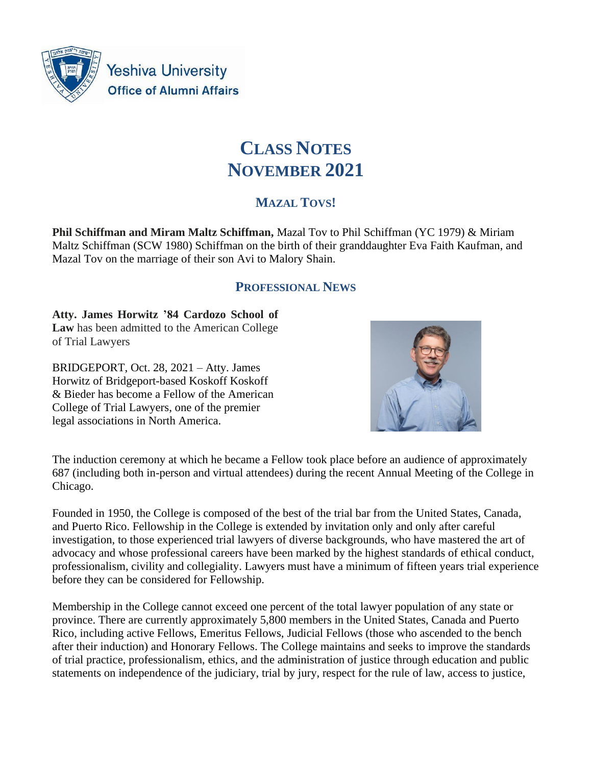

**Yeshiva University Office of Alumni Affairs** 

# **CLASS NOTES NOVEMBER 2021**

# **MAZAL TOVS!**

**Phil Schiffman and Miram Maltz Schiffman,** Mazal Tov to Phil Schiffman (YC 1979) & Miriam Maltz Schiffman (SCW 1980) Schiffman on the birth of their granddaughter Eva Faith Kaufman, and Mazal Tov on the marriage of their son Avi to Malory Shain.

## **PROFESSIONAL NEWS**

**Atty. James Horwitz '84 Cardozo School of Law** has been admitted to the American College of Trial Lawyers

BRIDGEPORT, Oct. 28, 2021 – Atty. James Horwitz of Bridgeport-based Koskoff Koskoff & Bieder has become a Fellow of the American College of Trial Lawyers, one of the premier legal associations in North America.



The induction ceremony at which he became a Fellow took place before an audience of approximately 687 (including both in-person and virtual attendees) during the recent Annual Meeting of the College in Chicago.

Founded in 1950, the College is composed of the best of the trial bar from the United States, Canada, and Puerto Rico. Fellowship in the College is extended by invitation only and only after careful investigation, to those experienced trial lawyers of diverse backgrounds, who have mastered the art of advocacy and whose professional careers have been marked by the highest standards of ethical conduct, professionalism, civility and collegiality. Lawyers must have a minimum of fifteen years trial experience before they can be considered for Fellowship.

Membership in the College cannot exceed one percent of the total lawyer population of any state or province. There are currently approximately 5,800 members in the United States, Canada and Puerto Rico, including active Fellows, Emeritus Fellows, Judicial Fellows (those who ascended to the bench after their induction) and Honorary Fellows. The College maintains and seeks to improve the standards of trial practice, professionalism, ethics, and the administration of justice through education and public statements on independence of the judiciary, trial by jury, respect for the rule of law, access to justice,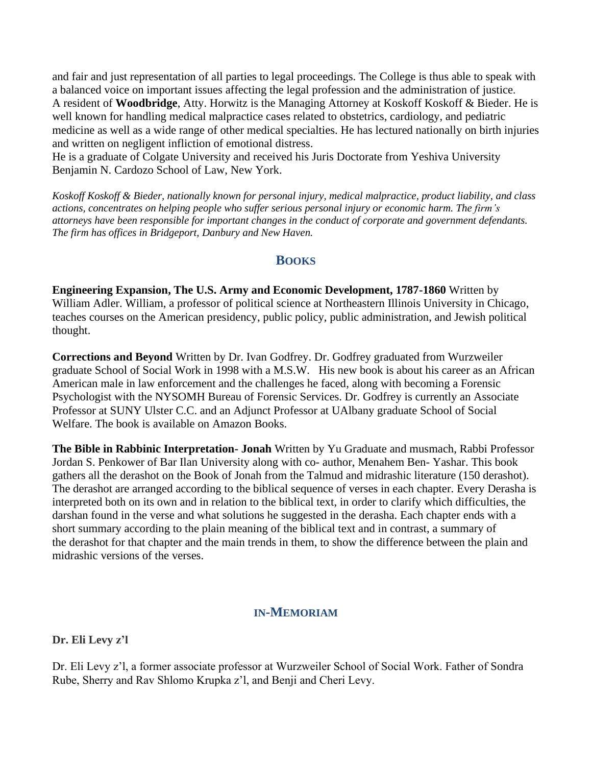and fair and just representation of all parties to legal proceedings. The College is thus able to speak with a balanced voice on important issues affecting the legal profession and the administration of justice. A resident of **Woodbridge**, Atty. Horwitz is the Managing Attorney at Koskoff Koskoff & Bieder. He is well known for handling medical malpractice cases related to obstetrics, cardiology, and pediatric medicine as well as a wide range of other medical specialties. He has lectured nationally on birth injuries and written on negligent infliction of emotional distress.

He is a graduate of Colgate University and received his Juris Doctorate from Yeshiva University Benjamin N. Cardozo School of Law, New York.

*Koskoff Koskoff & Bieder, nationally known for personal injury, medical malpractice, product liability, and class actions, concentrates on helping people who suffer serious personal injury or economic harm. The firm's attorneys have been responsible for important changes in the conduct of corporate and government defendants. The firm has offices in Bridgeport, Danbury and New Haven.*

### **BOOKS**

**Engineering Expansion, The U.S. Army and Economic Development, 1787-1860** Written by William Adler. William, a professor of political science at Northeastern Illinois University in Chicago, teaches courses on the American presidency, public policy, public administration, and Jewish political thought.

**Corrections and Beyond** Written by Dr. Ivan Godfrey. Dr. Godfrey graduated from Wurzweiler graduate School of Social Work in 1998 with a M.S.W. His new book is about his career as an African American male in law enforcement and the challenges he faced, along with becoming a Forensic Psychologist with the NYSOMH Bureau of Forensic Services. Dr. Godfrey is currently an Associate Professor at SUNY Ulster C.C. and an Adjunct Professor at UAlbany graduate School of Social Welfare. The book is available on Amazon Books.

**The Bible in Rabbinic Interpretation- Jonah** Written by Yu Graduate and musmach, Rabbi Professor Jordan S. Penkower of Bar Ilan University along with co- author, Menahem Ben- Yashar. This book gathers all the derashot on the Book of Jonah from the Talmud and midrashic literature (150 derashot). The derashot are arranged according to the biblical sequence of verses in each chapter. Every Derasha is interpreted both on its own and in relation to the biblical text, in order to clarify which difficulties, the darshan found in the verse and what solutions he suggested in the derasha. Each chapter ends with a short summary according to the plain meaning of the biblical text and in contrast, a summary of the derashot for that chapter and the main trends in them, to show the difference between the plain and midrashic versions of the verses.

#### **IN-MEMORIAM**

**Dr. Eli Levy z'l**

Dr. Eli Levy z'l, a former associate professor at Wurzweiler School of Social Work. Father of Sondra Rube, Sherry and Rav Shlomo Krupka z'l, and Benji and Cheri Levy.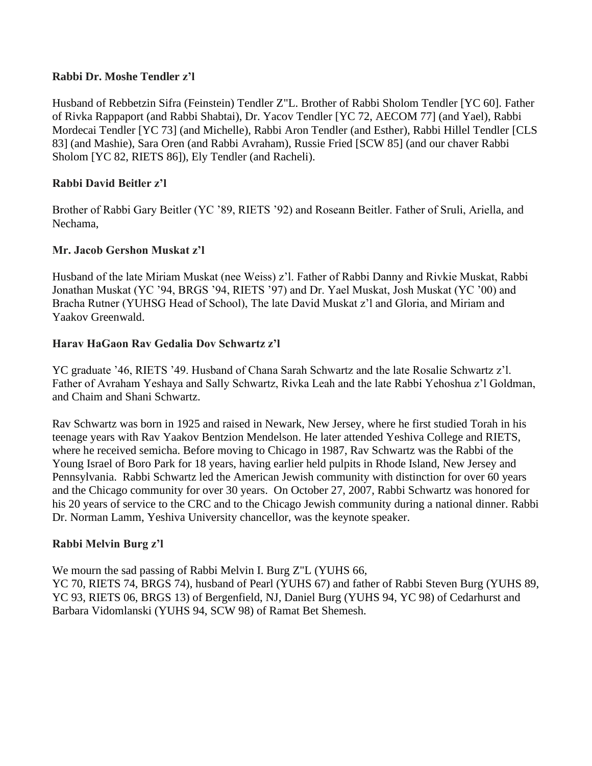#### **Rabbi Dr. Moshe Tendler z'l**

Husband of Rebbetzin Sifra (Feinstein) Tendler Z"L. Brother of Rabbi Sholom Tendler [YC 60]. Father of Rivka Rappaport (and Rabbi Shabtai), Dr. Yacov Tendler [YC 72, AECOM 77] (and Yael), Rabbi Mordecai Tendler [YC 73] (and Michelle), Rabbi Aron Tendler (and Esther), Rabbi Hillel Tendler [CLS 83] (and Mashie), Sara Oren (and Rabbi Avraham), Russie Fried [SCW 85] (and our chaver Rabbi Sholom [YC 82, RIETS 86]), Ely Tendler (and Racheli).

#### **Rabbi David Beitler z'l**

Brother of Rabbi Gary Beitler (YC '89, RIETS '92) and Roseann Beitler. Father of Sruli, Ariella, and Nechama,

#### **Mr. Jacob Gershon Muskat z'l**

Husband of the late Miriam Muskat (nee Weiss) z'l. Father of Rabbi Danny and Rivkie Muskat, Rabbi Jonathan Muskat (YC '94, BRGS '94, RIETS '97) and Dr. Yael Muskat, Josh Muskat (YC '00) and Bracha Rutner (YUHSG Head of School), The late David Muskat z'l and Gloria, and Miriam and Yaakov Greenwald.

#### **Harav HaGaon Rav Gedalia Dov Schwartz z'l**

YC graduate '46, RIETS '49. Husband of Chana Sarah Schwartz and the late Rosalie Schwartz z'l. Father of Avraham Yeshaya and Sally Schwartz, Rivka Leah and the late Rabbi Yehoshua z'l Goldman, and Chaim and Shani Schwartz.

Rav Schwartz was born in 1925 and raised in Newark, New Jersey, where he first studied Torah in his teenage years with Rav Yaakov Bentzion Mendelson. He later attended Yeshiva College and RIETS, where he received semicha. Before moving to Chicago in 1987, Rav Schwartz was the Rabbi of the Young Israel of Boro Park for 18 years, having earlier held pulpits in Rhode Island, New Jersey and Pennsylvania. Rabbi Schwartz led the American Jewish community with distinction for over 60 years and the Chicago community for over 30 years. On October 27, 2007, Rabbi Schwartz was honored for his 20 years of service to the CRC and to the Chicago Jewish community during a national dinner. Rabbi Dr. Norman Lamm, Yeshiva University chancellor, was the keynote speaker.

#### **Rabbi Melvin Burg z'l**

We mourn the sad passing of Rabbi Melvin I. Burg Z"L (YUHS 66,

YC 70, RIETS 74, BRGS 74), husband of Pearl (YUHS 67) and father of Rabbi Steven Burg (YUHS 89, YC 93, RIETS 06, BRGS 13) of Bergenfield, NJ, Daniel Burg (YUHS 94, YC 98) of Cedarhurst and Barbara Vidomlanski (YUHS 94, SCW 98) of Ramat Bet Shemesh.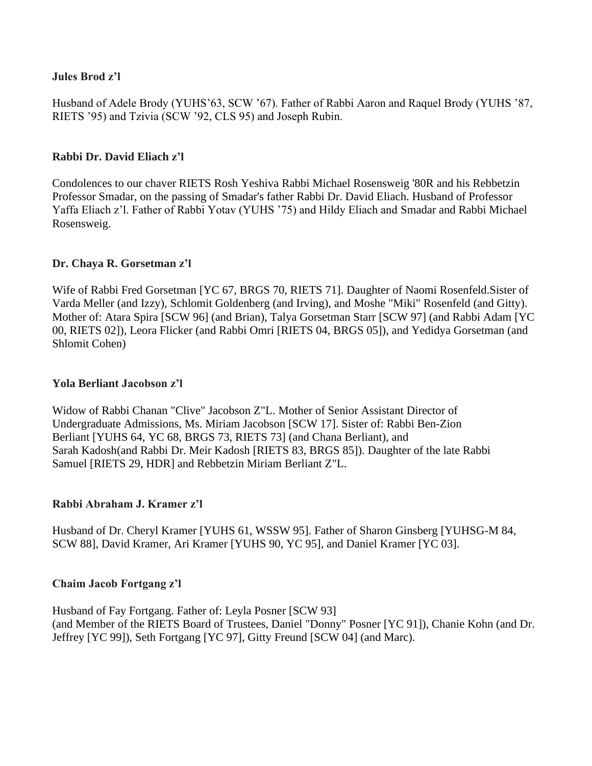#### **Jules Brod z'l**

Husband of Adele Brody (YUHS'63, SCW '67). Father of Rabbi Aaron and Raquel Brody (YUHS '87, RIETS '95) and Tzivia (SCW '92, CLS 95) and Joseph Rubin.

#### **Rabbi Dr. David Eliach z'l**

Condolences to our chaver RIETS Rosh Yeshiva Rabbi Michael Rosensweig '80R and his Rebbetzin Professor Smadar, on the passing of Smadar's father Rabbi Dr. David Eliach. Husband of Professor Yaffa Eliach z'l. Father of Rabbi Yotav (YUHS '75) and Hildy Eliach and Smadar and Rabbi Michael Rosensweig.

#### **Dr. Chaya R. Gorsetman z'l**

Wife of Rabbi Fred Gorsetman [YC 67, BRGS 70, RIETS 71]. Daughter of Naomi Rosenfeld.Sister of Varda Meller (and Izzy), Schlomit Goldenberg (and Irving), and Moshe "Miki" Rosenfeld (and Gitty). Mother of: Atara Spira [SCW 96] (and Brian), Talya Gorsetman Starr [SCW 97] (and Rabbi Adam [YC 00, RIETS 02]), Leora Flicker (and Rabbi Omri [RIETS 04, BRGS 05]), and Yedidya Gorsetman (and Shlomit Cohen)

#### **Yola Berliant Jacobson z'l**

Widow of Rabbi Chanan "Clive" Jacobson Z"L. Mother of Senior Assistant Director of Undergraduate Admissions, Ms. Miriam Jacobson [SCW 17]. Sister of: Rabbi Ben-Zion Berliant [YUHS 64, YC 68, BRGS 73, RIETS 73] (and Chana Berliant), and Sarah Kadosh(and Rabbi Dr. Meir Kadosh [RIETS 83, BRGS 85]). Daughter of the late Rabbi Samuel [RIETS 29, HDR] and Rebbetzin Miriam Berliant Z"L.

#### **Rabbi Abraham J. Kramer z'l**

Husband of Dr. Cheryl Kramer [YUHS 61, WSSW 95]. Father of Sharon Ginsberg [YUHSG-M 84, SCW 88], David Kramer, Ari Kramer [YUHS 90, YC 95], and Daniel Kramer [YC 03].

#### **Chaim Jacob Fortgang z'l**

Husband of Fay Fortgang. Father of: Leyla Posner [SCW 93] (and Member of the RIETS Board of Trustees, Daniel "Donny" Posner [YC 91]), Chanie Kohn (and Dr. Jeffrey [YC 99]), Seth Fortgang [YC 97], Gitty Freund [SCW 04] (and Marc).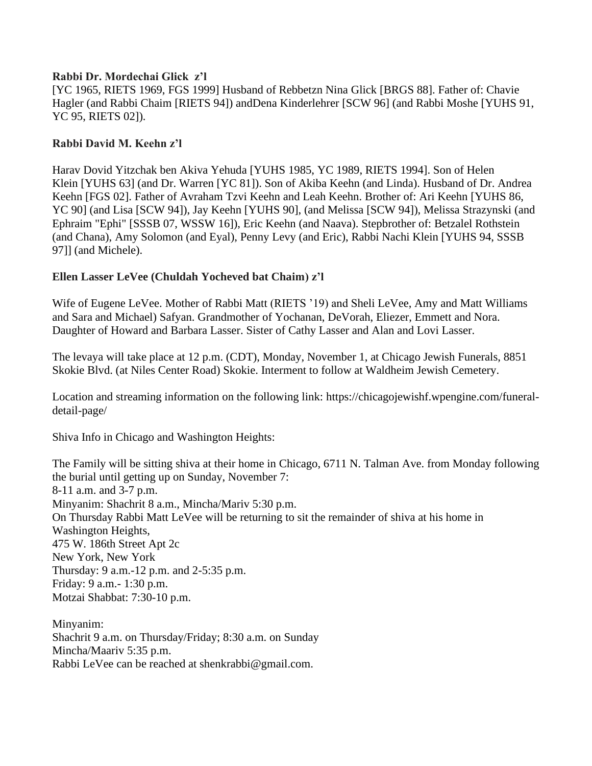#### **Rabbi Dr. Mordechai Glick z'l**

[YC 1965, RIETS 1969, FGS 1999] Husband of Rebbetzn Nina Glick [BRGS 88]. Father of: Chavie Hagler (and Rabbi Chaim [RIETS 94]) andDena Kinderlehrer [SCW 96] (and Rabbi Moshe [YUHS 91, YC 95, RIETS 02]).

#### **Rabbi David M. Keehn z'l**

Harav Dovid Yitzchak ben Akiva Yehuda [YUHS 1985, YC 1989, RIETS 1994]. Son of Helen Klein [YUHS 63] (and Dr. Warren [YC 81]). Son of Akiba Keehn (and Linda). Husband of Dr. Andrea Keehn [FGS 02]. Father of Avraham Tzvi Keehn and Leah Keehn. Brother of: Ari Keehn [YUHS 86, YC 90] (and Lisa [SCW 94]), Jay Keehn [YUHS 90], (and Melissa [SCW 94]), Melissa Strazynski (and Ephraim "Ephi" [SSSB 07, WSSW 16]), Eric Keehn (and Naava). Stepbrother of: Betzalel Rothstein (and Chana), Amy Solomon (and Eyal), Penny Levy (and Eric), Rabbi Nachi Klein [YUHS 94, SSSB 97]] (and Michele).

#### **Ellen Lasser LeVee (Chuldah Yocheved bat Chaim) z'l**

Wife of Eugene LeVee. Mother of Rabbi Matt (RIETS '19) and Sheli LeVee, Amy and Matt Williams and Sara and Michael) Safyan. Grandmother of Yochanan, DeVorah, Eliezer, Emmett and Nora. Daughter of Howard and Barbara Lasser. Sister of Cathy Lasser and Alan and Lovi Lasser.

The levaya will take place at 12 p.m. (CDT), Monday, November 1, at Chicago Jewish Funerals, 8851 Skokie Blvd. (at Niles Center Road) Skokie. Interment to follow at Waldheim Jewish Cemetery.

Location and streaming information on the following link: [https://chicagojewishf.wpengine.com/funeral](https://chicagojewishf.wpengine.com/funeral-detail-page/)[detail-page/](https://chicagojewishf.wpengine.com/funeral-detail-page/)

Shiva Info in Chicago and Washington Heights:

The Family will be sitting shiva at their home in Chicago, 6711 N. Talman Ave. from Monday following the burial until getting up on Sunday, November 7: 8-11 a.m. and 3-7 p.m. Minyanim: Shachrit 8 a.m., Mincha/Mariv 5:30 p.m. On Thursday Rabbi Matt LeVee will be returning to sit the remainder of shiva at his home in Washington Heights, 475 W. 186th Street Apt 2c New York, New York Thursday: 9 a.m.-12 p.m. and 2-5:35 p.m. Friday: 9 a.m.- 1:30 p.m. Motzai Shabbat: 7:30-10 p.m.

Minyanim: Shachrit 9 a.m. on Thursday/Friday; 8:30 a.m. on Sunday Mincha/Maariv 5:35 p.m. Rabbi LeVee can be reached at shenkrabbi@gmail.com.